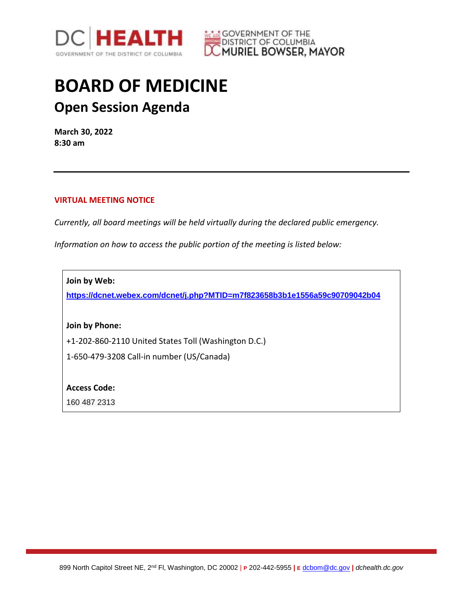



## **BOARD OF MEDICINE Open Session Agenda**

**March 30, 2022 8:30 am**

## **VIRTUAL MEETING NOTICE**

*Currently, all board meetings will be held virtually during the declared public emergency.* 

*Information on how to access the public portion of the meeting is listed below:*

**Join by Web:**

**<https://dcnet.webex.com/dcnet/j.php?MTID=m7f823658b3b1e1556a59c90709042b04>**

**Join by Phone:**

+1-202-860-2110 United States Toll (Washington D.C.)

1-650-479-3208 Call-in number (US/Canada)

**Access Code:** 

160 487 2313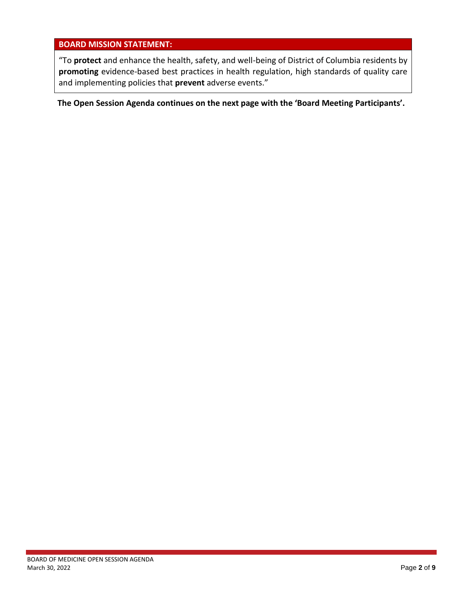## **BOARD MISSION STATEMENT:**

"To **protect** and enhance the health, safety, and well-being of District of Columbia residents by **promoting** evidence-based best practices in health regulation, high standards of quality care and implementing policies that **prevent** adverse events."

**The Open Session Agenda continues on the next page with the 'Board Meeting Participants'.**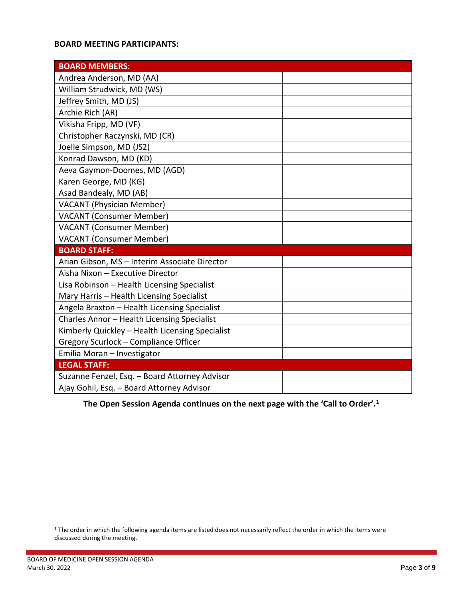## **BOARD MEETING PARTICIPANTS:**

| <b>BOARD MEMBERS:</b>                           |  |
|-------------------------------------------------|--|
| Andrea Anderson, MD (AA)                        |  |
| William Strudwick, MD (WS)                      |  |
| Jeffrey Smith, MD (JS)                          |  |
| Archie Rich (AR)                                |  |
| Vikisha Fripp, MD (VF)                          |  |
| Christopher Raczynski, MD (CR)                  |  |
| Joelle Simpson, MD (JS2)                        |  |
| Konrad Dawson, MD (KD)                          |  |
| Aeva Gaymon-Doomes, MD (AGD)                    |  |
| Karen George, MD (KG)                           |  |
| Asad Bandealy, MD (AB)                          |  |
| <b>VACANT (Physician Member)</b>                |  |
| <b>VACANT (Consumer Member)</b>                 |  |
| <b>VACANT (Consumer Member)</b>                 |  |
| <b>VACANT (Consumer Member)</b>                 |  |
| <b>BOARD STAFF:</b>                             |  |
| Arian Gibson, MS - Interim Associate Director   |  |
| Aisha Nixon - Executive Director                |  |
| Lisa Robinson - Health Licensing Specialist     |  |
| Mary Harris - Health Licensing Specialist       |  |
| Angela Braxton - Health Licensing Specialist    |  |
| Charles Annor - Health Licensing Specialist     |  |
| Kimberly Quickley - Health Licensing Specialist |  |
| Gregory Scurlock - Compliance Officer           |  |
| Emilia Moran - Investigator                     |  |
| <b>LEGAL STAFF:</b>                             |  |
| Suzanne Fenzel, Esq. - Board Attorney Advisor   |  |
| Ajay Gohil, Esq. - Board Attorney Advisor       |  |

**1he Open Session Agenda continues on the next page with the 'Call to Order'.<sup>1</sup>** 

 $\overline{a}$ 

<sup>&</sup>lt;sup>1</sup> The order in which the following agenda items are listed does not necessarily reflect the order in which the items were discussed during the meeting.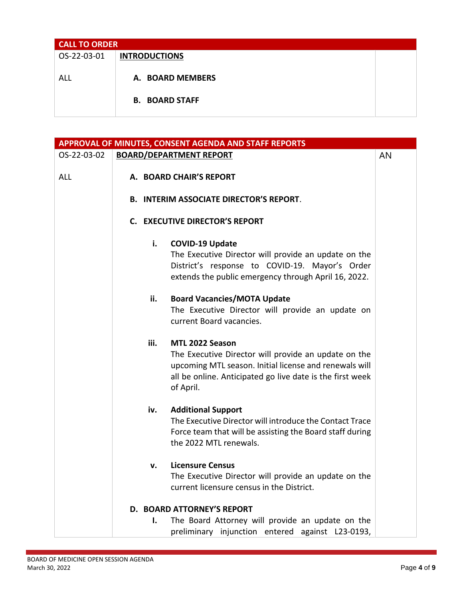| <b>CALL TO ORDER</b> |                       |  |
|----------------------|-----------------------|--|
| OS-22-03-01          | <b>INTRODUCTIONS</b>  |  |
|                      |                       |  |
| ALL                  | A. BOARD MEMBERS      |  |
|                      |                       |  |
|                      | <b>B. BOARD STAFF</b> |  |
|                      |                       |  |

|             |      | APPROVAL OF MINUTES, CONSENT AGENDA AND STAFF REPORTS     |    |
|-------------|------|-----------------------------------------------------------|----|
| OS-22-03-02 |      | <b>BOARD/DEPARTMENT REPORT</b>                            | AN |
|             |      |                                                           |    |
| <b>ALL</b>  |      | A. BOARD CHAIR'S REPORT                                   |    |
|             |      | <b>B. INTERIM ASSOCIATE DIRECTOR'S REPORT.</b>            |    |
|             |      |                                                           |    |
|             |      | <b>C. EXECUTIVE DIRECTOR'S REPORT</b>                     |    |
|             |      |                                                           |    |
|             | i.   | <b>COVID-19 Update</b>                                    |    |
|             |      | The Executive Director will provide an update on the      |    |
|             |      | District's response to COVID-19. Mayor's Order            |    |
|             |      | extends the public emergency through April 16, 2022.      |    |
|             | ii.  | <b>Board Vacancies/MOTA Update</b>                        |    |
|             |      | The Executive Director will provide an update on          |    |
|             |      | current Board vacancies.                                  |    |
|             |      |                                                           |    |
|             | iii. | MTL 2022 Season                                           |    |
|             |      | The Executive Director will provide an update on the      |    |
|             |      | upcoming MTL season. Initial license and renewals will    |    |
|             |      | all be online. Anticipated go live date is the first week |    |
|             |      | of April.                                                 |    |
|             | iv.  | <b>Additional Support</b>                                 |    |
|             |      | The Executive Director will introduce the Contact Trace   |    |
|             |      | Force team that will be assisting the Board staff during  |    |
|             |      | the 2022 MTL renewals.                                    |    |
|             |      |                                                           |    |
|             | v.   | <b>Licensure Census</b>                                   |    |
|             |      | The Executive Director will provide an update on the      |    |
|             |      | current licensure census in the District.                 |    |
|             |      | D. BOARD ATTORNEY'S REPORT                                |    |
|             | ı.   | The Board Attorney will provide an update on the          |    |
|             |      | preliminary injunction entered against L23-0193,          |    |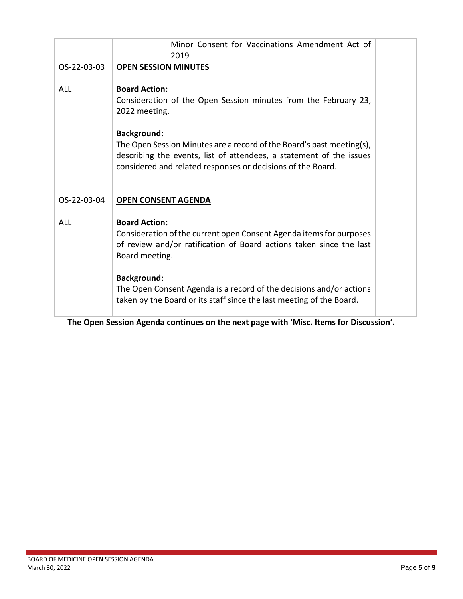|             | Minor Consent for Vaccinations Amendment Act of<br>2019                                                                                                                                                                                                                                                                                       |  |
|-------------|-----------------------------------------------------------------------------------------------------------------------------------------------------------------------------------------------------------------------------------------------------------------------------------------------------------------------------------------------|--|
| OS-22-03-03 | <b>OPEN SESSION MINUTES</b>                                                                                                                                                                                                                                                                                                                   |  |
| <b>ALL</b>  | <b>Board Action:</b><br>Consideration of the Open Session minutes from the February 23,<br>2022 meeting.<br><b>Background:</b><br>The Open Session Minutes are a record of the Board's past meeting(s),<br>describing the events, list of attendees, a statement of the issues<br>considered and related responses or decisions of the Board. |  |
| OS-22-03-04 | <b>OPEN CONSENT AGENDA</b>                                                                                                                                                                                                                                                                                                                    |  |
| <b>ALL</b>  | <b>Board Action:</b><br>Consideration of the current open Consent Agenda items for purposes<br>of review and/or ratification of Board actions taken since the last<br>Board meeting.                                                                                                                                                          |  |
|             | <b>Background:</b><br>The Open Consent Agenda is a record of the decisions and/or actions<br>taken by the Board or its staff since the last meeting of the Board.                                                                                                                                                                             |  |

**The Open Session Agenda continues on the next page with 'Misc. Items for Discussion'.**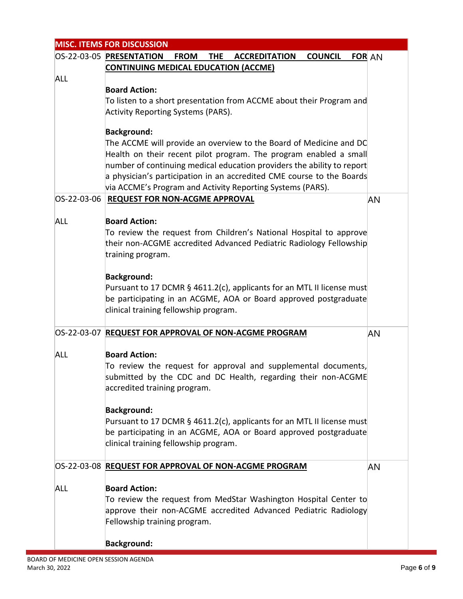|             | <b>MISC. ITEMS FOR DISCUSSION</b>                                                                                                                                                                                                                                                                                                                                              |    |
|-------------|--------------------------------------------------------------------------------------------------------------------------------------------------------------------------------------------------------------------------------------------------------------------------------------------------------------------------------------------------------------------------------|----|
|             | OS-22-03-05 PRESENTATION FROM<br><b>COUNCIL FOR AN</b><br>THE ACCREDITATION                                                                                                                                                                                                                                                                                                    |    |
|             | <b>CONTINUING MEDICAL EDUCATION (ACCME)</b>                                                                                                                                                                                                                                                                                                                                    |    |
| <b>ALL</b>  | <b>Board Action:</b><br>To listen to a short presentation from ACCME about their Program and<br><b>Activity Reporting Systems (PARS).</b>                                                                                                                                                                                                                                      |    |
|             | <b>Background:</b><br>The ACCME will provide an overview to the Board of Medicine and DC<br>Health on their recent pilot program. The program enabled a small<br>number of continuing medical education providers the ability to report<br>a physician's participation in an accredited CME course to the Boards<br>via ACCME's Program and Activity Reporting Systems (PARS). |    |
| OS-22-03-06 | <b>REQUEST FOR NON-ACGME APPROVAL</b>                                                                                                                                                                                                                                                                                                                                          | AN |
| <b>ALL</b>  | <b>Board Action:</b><br>To review the request from Children's National Hospital to approve<br>their non-ACGME accredited Advanced Pediatric Radiology Fellowship<br>training program.<br><b>Background:</b><br>Pursuant to 17 DCMR § 4611.2(c), applicants for an MTL II license must                                                                                          |    |
|             | be participating in an ACGME, AOA or Board approved postgraduate<br>clinical training fellowship program.                                                                                                                                                                                                                                                                      |    |
|             | OS-22-03-07 REQUEST FOR APPROVAL OF NON-ACGME PROGRAM                                                                                                                                                                                                                                                                                                                          | AN |
| <b>ALL</b>  | <b>Board Action:</b><br>To review the request for approval and supplemental documents,<br>submitted by the CDC and DC Health, regarding their non-ACGME<br>accredited training program.                                                                                                                                                                                        |    |
|             | <b>Background:</b><br>Pursuant to 17 DCMR § 4611.2(c), applicants for an MTL II license must<br>be participating in an ACGME, AOA or Board approved postgraduate<br>clinical training fellowship program.                                                                                                                                                                      |    |
|             | OS-22-03-08 REQUEST FOR APPROVAL OF NON-ACGME PROGRAM                                                                                                                                                                                                                                                                                                                          | AN |
| ALL         | <b>Board Action:</b><br>To review the request from MedStar Washington Hospital Center to<br>approve their non-ACGME accredited Advanced Pediatric Radiology<br>Fellowship training program.                                                                                                                                                                                    |    |
|             | <b>Background:</b>                                                                                                                                                                                                                                                                                                                                                             |    |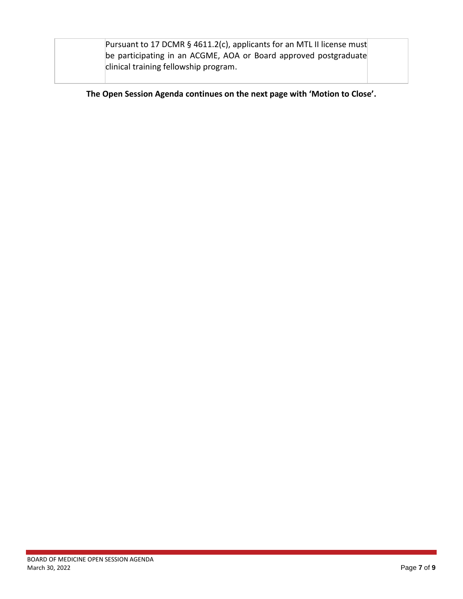| Pursuant to 17 DCMR § 4611.2(c), applicants for an MTL II license must |  |
|------------------------------------------------------------------------|--|
| be participating in an ACGME, AOA or Board approved postgraduate       |  |
| clinical training fellowship program.                                  |  |
|                                                                        |  |

**The Open Session Agenda continues on the next page with 'Motion to Close'.**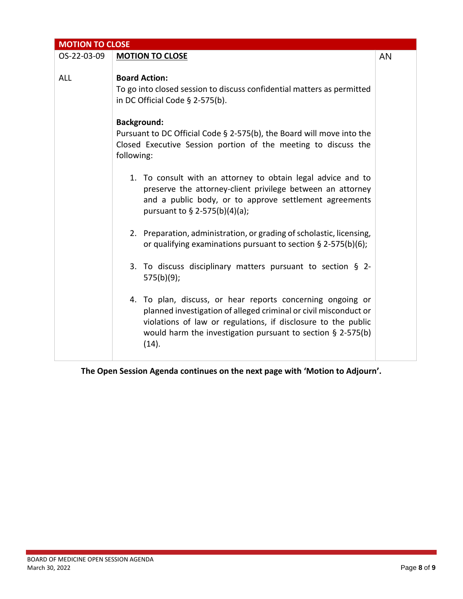| <b>MOTION TO CLOSE</b> |                                                                                                                                                                                                                                                                            |    |
|------------------------|----------------------------------------------------------------------------------------------------------------------------------------------------------------------------------------------------------------------------------------------------------------------------|----|
| OS-22-03-09            | <b>MOTION TO CLOSE</b>                                                                                                                                                                                                                                                     | AN |
| ALL                    | <b>Board Action:</b><br>To go into closed session to discuss confidential matters as permitted<br>in DC Official Code $\S$ 2-575(b).                                                                                                                                       |    |
|                        | <b>Background:</b><br>Pursuant to DC Official Code § 2-575(b), the Board will move into the<br>Closed Executive Session portion of the meeting to discuss the<br>following:                                                                                                |    |
|                        | 1. To consult with an attorney to obtain legal advice and to<br>preserve the attorney-client privilege between an attorney<br>and a public body, or to approve settlement agreements<br>pursuant to § 2-575(b)(4)(a);                                                      |    |
|                        | 2. Preparation, administration, or grading of scholastic, licensing,<br>or qualifying examinations pursuant to section $\S$ 2-575(b)(6);                                                                                                                                   |    |
|                        | 3. To discuss disciplinary matters pursuant to section § 2-<br>$575(b)(9)$ ;                                                                                                                                                                                               |    |
|                        | 4. To plan, discuss, or hear reports concerning ongoing or<br>planned investigation of alleged criminal or civil misconduct or<br>violations of law or regulations, if disclosure to the public<br>would harm the investigation pursuant to section $\S$ 2-575(b)<br>(14). |    |

**The Open Session Agenda continues on the next page with 'Motion to Adjourn'.**